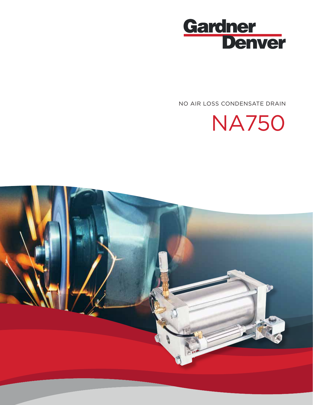

NO AIR LOSS CONDENSATE DRAIN



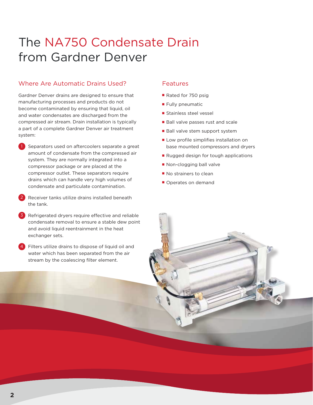# The NA750 Condensate Drain from Gardner Denver

# Where Are Automatic Drains Used?

Gardner Denver drains are designed to ensure that manufacturing processes and products do not become contaminated by ensuring that liquid, oil and water condensates are discharged from the compressed air stream. Drain installation is typically a part of a complete Gardner Denver air treatment system:

- 1 Separators used on aftercoolers separate a great amount of condensate from the compressed air system. They are normally integrated into a compressor package or are placed at the compressor outlet. These separators require drains which can handle very high volumes of condensate and particulate contamination.
- Receiver tanks utilize drains installed beneath the tank.
- 3 Refrigerated dryers require effective and reliable condensate removal to ensure a stable dew point and avoid liquid reentrainment in the heat exchanger sets.
- Filters utilize drains to dispose of liquid oil and water which has been separated from the air stream by the coalescing filter element.

#### Features

- Rated for 750 psig
- Fully pneumatic
- Stainless steel vessel
- Ball valve passes rust and scale
- Ball valve stem support system
- Low profile simplifies installation on base mounted compressors and dryers
- Rugged design for tough applications
- Non-clogging ball valve
- No strainers to clean
- Operates on demand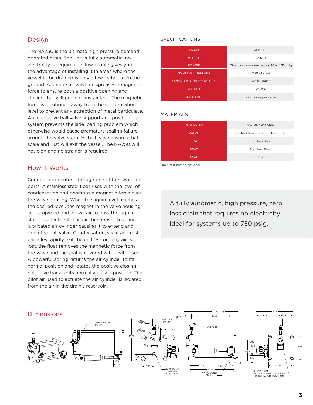## Design

The NA750 is the ultimate high pressure demand operated drain. The unit is fully automatic, no electricity is required. Its low profile gives you the advantage of installing it in areas where the vessel to be drained is only a few inches from the ground. A unique air valve design uses a magnetic force to ensure both a positive opening and closing that will prevent any air loss. The magnetic force is positioned away from the condensation level to prevent any attraction of metal particulate. An innovative ball valve support and positioning system prevents the side loading problem which otherwise would cause premature sealing failure around the valve stem. ½" ball valve ensures that scale and rust will exit the vessel. The NA750 will not clog and no strainer is required.

### How it Works

Condensation enters through one of the two inlet ports. A stainless steel float rises with the level of condensation and positions a magnetic force over the valve housing. When the liquid level reaches the desired level, the magnet in the valve housing snaps upward and allows air to pass through a stainless steel seat. The air then moves to a nonlubricated air cylinder causing it to extend and open the ball valve. Condensation, scale and rust particles rapidly exit the unit. Before any air is lost, the float removes the magnetic force from the valve and the seat is covered with a viton seal. A powerful spring returns the air cylinder to its normal position and rotates the positive closing ball valve back to its normally closed position. The pilot air used to actuate the air cylinder is isolated from the air in the drain's reservoir.

#### SPECIFICATIONS

| <b>INLETS</b>                | $(2)$ 3/4" NPT                           |
|------------------------------|------------------------------------------|
| <b>OUTLETS</b>               | $1/2"$ NPT                               |
| <b>POWER</b>                 | Clean, dry compressed air 80 to 130 psig |
| <b>HOUSING PRESSURE</b>      | 0 to 750 psi                             |
| <b>OPERATING TEMPERATURE</b> | 32° to 180° F                            |
| <b>WEIGHT</b>                | $23$ lbs.                                |
| <b>DISCHARGE</b>             | 24 ounces per cycle                      |

#### MATERIALS

| <b>RESERVOIR</b> | 304 Stainless Steel                 |
|------------------|-------------------------------------|
| <b>VALVE</b>     | Stainless Steel w/SS. Ball and Stem |
| <b>FLOAT</b>     | Stainless Steel                     |
| <b>SEAT</b>      | Stainless Steel                     |
| <b>SEAL</b>      | Viton                               |
|                  |                                     |

Drain test button optional

A fully automatic, high pressure, zero loss drain that requires no electricity. Ideal for systems up to 750 psig.